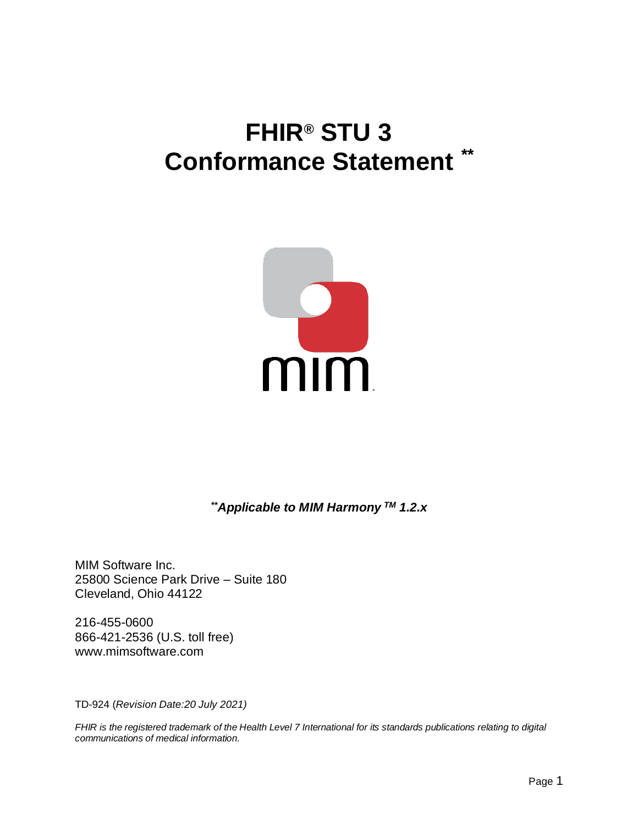# **FHIR® STU 3 Conformance Statement** *\*\**



*\*\*Applicable to MIM Harmony TM 1.2.x*

MIM Software Inc. 25800 Science Park Drive – Suite 180 Cleveland, Ohio 44122

216-455-0600 866-421-2536 (U.S. toll free) www.mimsoftware.com

TD-924 (*Revision Date:20 July 2021)*

*FHIR is the registered trademark of the Health Level 7 International for its standards publications relating to digital communications of medical information.*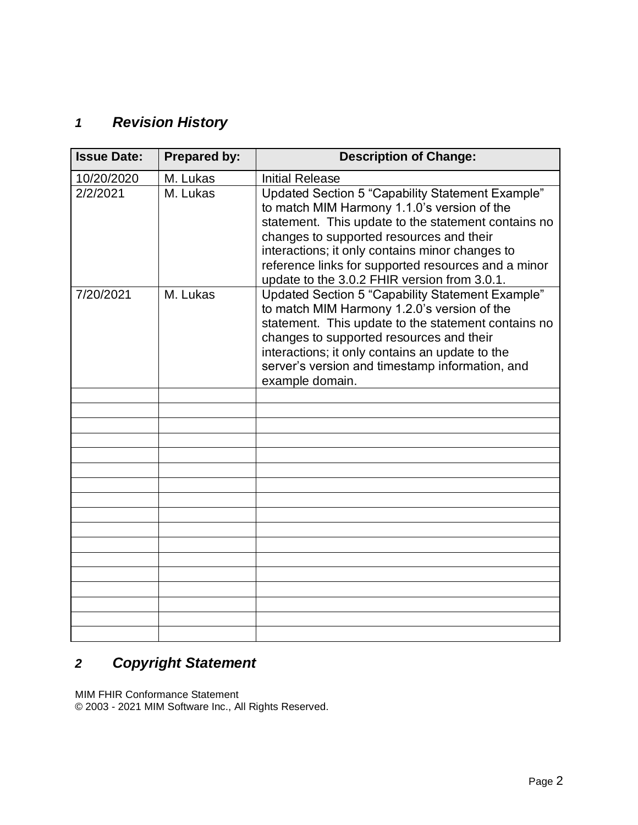## *1 Revision History*

| <b>Issue Date:</b> | <b>Prepared by:</b> | <b>Description of Change:</b>                                                                                                                                                                                                                                                                                                                                |
|--------------------|---------------------|--------------------------------------------------------------------------------------------------------------------------------------------------------------------------------------------------------------------------------------------------------------------------------------------------------------------------------------------------------------|
| 10/20/2020         | M. Lukas            | <b>Initial Release</b>                                                                                                                                                                                                                                                                                                                                       |
| 2/2/2021           | M. Lukas            | Updated Section 5 "Capability Statement Example"<br>to match MIM Harmony 1.1.0's version of the<br>statement. This update to the statement contains no<br>changes to supported resources and their<br>interactions; it only contains minor changes to<br>reference links for supported resources and a minor<br>update to the 3.0.2 FHIR version from 3.0.1. |
| 7/20/2021          | M. Lukas            | Updated Section 5 "Capability Statement Example"<br>to match MIM Harmony 1.2.0's version of the<br>statement. This update to the statement contains no<br>changes to supported resources and their<br>interactions; it only contains an update to the<br>server's version and timestamp information, and<br>example domain.                                  |
|                    |                     |                                                                                                                                                                                                                                                                                                                                                              |
|                    |                     |                                                                                                                                                                                                                                                                                                                                                              |
|                    |                     |                                                                                                                                                                                                                                                                                                                                                              |
|                    |                     |                                                                                                                                                                                                                                                                                                                                                              |
|                    |                     |                                                                                                                                                                                                                                                                                                                                                              |
|                    |                     |                                                                                                                                                                                                                                                                                                                                                              |
|                    |                     |                                                                                                                                                                                                                                                                                                                                                              |
|                    |                     |                                                                                                                                                                                                                                                                                                                                                              |
|                    |                     |                                                                                                                                                                                                                                                                                                                                                              |
|                    |                     |                                                                                                                                                                                                                                                                                                                                                              |
|                    |                     |                                                                                                                                                                                                                                                                                                                                                              |
|                    |                     |                                                                                                                                                                                                                                                                                                                                                              |
|                    |                     |                                                                                                                                                                                                                                                                                                                                                              |
|                    |                     |                                                                                                                                                                                                                                                                                                                                                              |
|                    |                     |                                                                                                                                                                                                                                                                                                                                                              |
|                    |                     |                                                                                                                                                                                                                                                                                                                                                              |

## *2 Copyright Statement*

MIM FHIR Conformance Statement

© 2003 - 2021 MIM Software Inc., All Rights Reserved.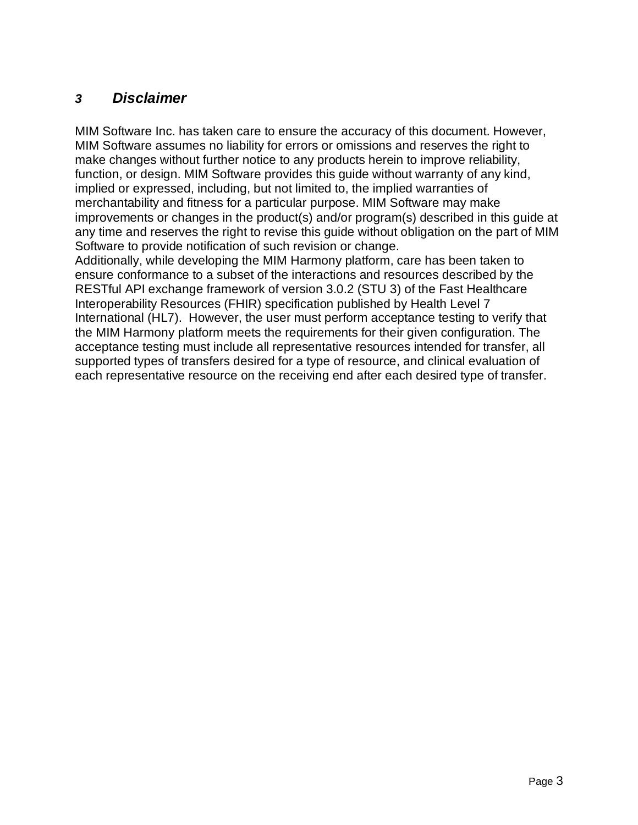#### *3 Disclaimer*

MIM Software Inc. has taken care to ensure the accuracy of this document. However, MIM Software assumes no liability for errors or omissions and reserves the right to make changes without further notice to any products herein to improve reliability, function, or design. MIM Software provides this guide without warranty of any kind, implied or expressed, including, but not limited to, the implied warranties of merchantability and fitness for a particular purpose. MIM Software may make improvements or changes in the product(s) and/or program(s) described in this guide at any time and reserves the right to revise this guide without obligation on the part of MIM Software to provide notification of such revision or change. Additionally, while developing the MIM Harmony platform, care has been taken to ensure conformance to a subset of the interactions and resources described by the RESTful API exchange framework of version 3.0.2 (STU 3) of the Fast Healthcare Interoperability Resources (FHIR) specification published by Health Level 7 International (HL7). However, the user must perform acceptance testing to verify that

the MIM Harmony platform meets the requirements for their given configuration. The acceptance testing must include all representative resources intended for transfer, all supported types of transfers desired for a type of resource, and clinical evaluation of each representative resource on the receiving end after each desired type of transfer.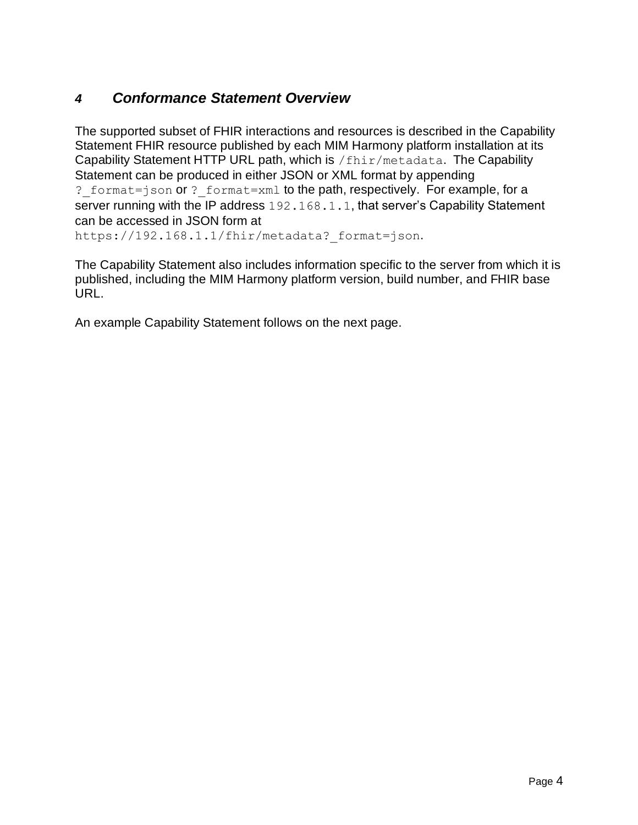### *4 Conformance Statement Overview*

The supported subset of FHIR interactions and resources is described in the Capability Statement FHIR resource published by each MIM Harmony platform installation at its Capability Statement HTTP URL path, which is /fhir/metadata. The Capability Statement can be produced in either JSON or XML format by appending ? format=json or ? format=xml to the path, respectively. For example, for a server running with the IP address 192.168.1.1, that server's Capability Statement can be accessed in JSON form at https://192.168.1.1/fhir/metadata? format=json.

The Capability Statement also includes information specific to the server from which it is published, including the MIM Harmony platform version, build number, and FHIR base URL.

An example Capability Statement follows on the next page.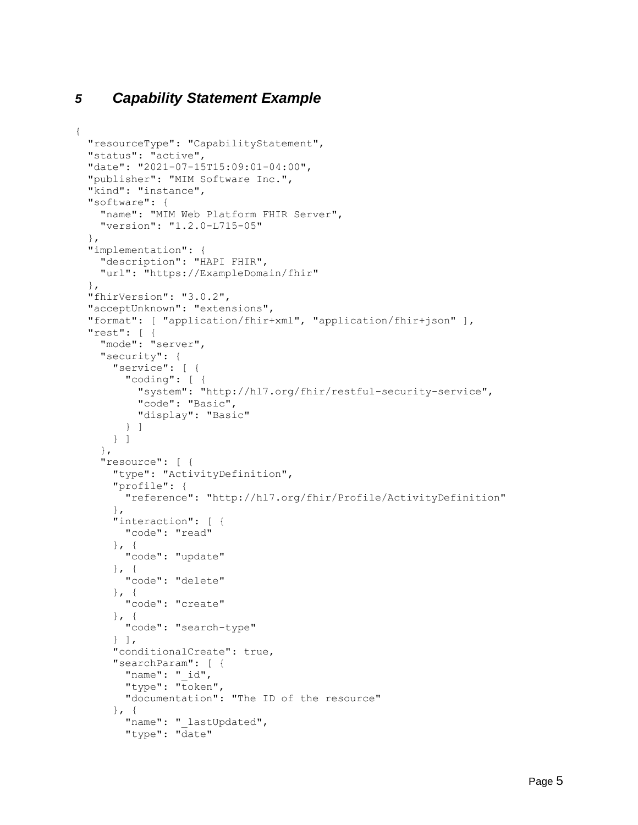#### *5 Capability Statement Example*

{

```
 "resourceType": "CapabilityStatement",
 "status": "active",
 "date": "2021-07-15T15:09:01-04:00",
 "publisher": "MIM Software Inc.",
 "kind": "instance",
 "software": {
   "name": "MIM Web Platform FHIR Server",
   "version": "1.2.0-L715-05"
 },
 "implementation": {
   "description": "HAPI FHIR",
   "url": "https://ExampleDomain/fhir"
 },
 "fhirVersion": "3.0.2",
 "acceptUnknown": "extensions",
 "format": [ "application/fhir+xml", "application/fhir+json" ],
 "rest": [ {
   "mode": "server",
   "security": {
     "service": [ {
       "coding": [ {
         "system": "http://hl7.org/fhir/restful-security-service",
         "code": "Basic",
         "display": "Basic"
       } ]
     } ]
   },
   "resource": [ {
     "type": "ActivityDefinition",
     "profile": {
       "reference": "http://hl7.org/fhir/Profile/ActivityDefinition"
     },
     "interaction": [ {
       "code": "read"
    }, { } "code": "update"
    }, \{ "code": "delete"
    }, { } "code": "create"
    }, { "code": "search-type"
     } ],
     "conditionalCreate": true,
     "searchParam": [ {
       "name": "_id",
       "type": "token",
       "documentation": "The ID of the resource"
    }, { }"name": " lastUpdated",
       "type": "date"
```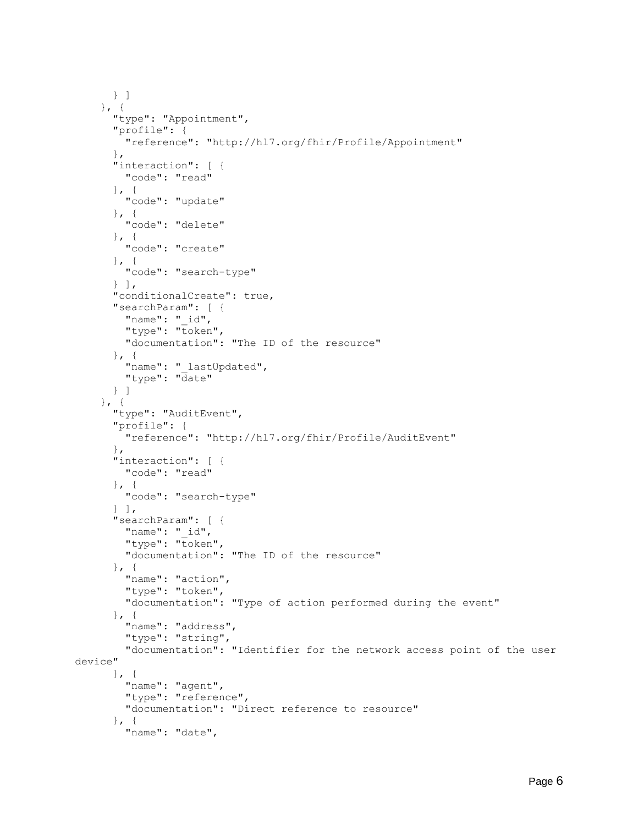```
 } ]
    }, { } "type": "Appointment",
       "profile": {
         "reference": "http://hl7.org/fhir/Profile/Appointment"
       },
       "interaction": [ {
         "code": "read"
\}, {
 "code": "update"
      }, { } "code": "delete"
      }, { } "code": "create"
       }, {
         "code": "search-type"
       } ],
       "conditionalCreate": true,
       "searchParam": [ {
         "name": "_id",
        "type": "token",
         "documentation": "The ID of the resource"
       }, {
        "name": " lastUpdated",
         "type": "date"
       } ]
     }, {
       "type": "AuditEvent",
       "profile": {
         "reference": "http://hl7.org/fhir/Profile/AuditEvent"
       },
       "interaction": [ {
         "code": "read"
      }, { } "code": "search-type"
      \} ],
       "searchParam": [ {
         "name": "_id",
         "type": "token",
         "documentation": "The ID of the resource"
      }, { } "name": "action",
         "type": "token",
         "documentation": "Type of action performed during the event"
      }, { } "name": "address",
         "type": "string",
         "documentation": "Identifier for the network access point of the user 
device"
      }, \{ "name": "agent",
         "type": "reference",
         "documentation": "Direct reference to resource"
      }, { } "name": "date",
```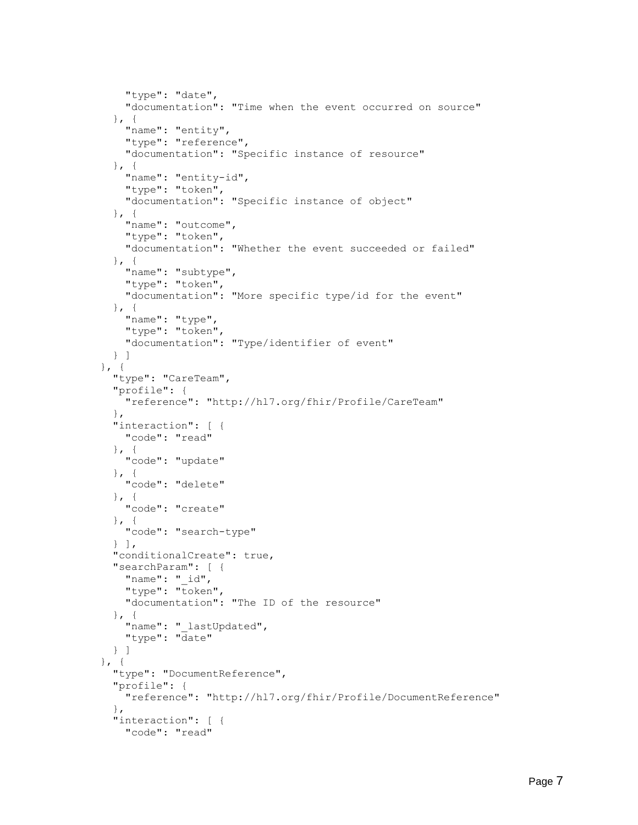```
 "type": "date",
     "documentation": "Time when the event occurred on source"
  }, \{"name": "entity",
     "type": "reference",
     "documentation": "Specific instance of resource"
  }, { } "name": "entity-id",
     "type": "token",
     "documentation": "Specific instance of object"
  }, { }"name": "outcome",
     "type": "token",
     "documentation": "Whether the event succeeded or failed"
  }, { }"name": "subtype",
     "type": "token",
     "documentation": "More specific type/id for the event"
  }, { }"name": "type",
     "type": "token",
     "documentation": "Type/identifier of event"
   } ]
 }, {
   "type": "CareTeam",
   "profile": {
     "reference": "http://hl7.org/fhir/Profile/CareTeam"
   },
   "interaction": [ {
     "code": "read"
  }, { } "code": "update"
  }, { } "code": "delete"
   }, {
    "code": "create"
  }, \{ "code": "search-type"
   } ],
   "conditionalCreate": true,
   "searchParam": [ {
    "name": " id",
     "type": "token",
     "documentation": "The ID of the resource"
  }, { }"name": " lastUpdated",
     "type": "date"
   } ]
}, { } "type": "DocumentReference",
   "profile": {
     "reference": "http://hl7.org/fhir/Profile/DocumentReference"
   },
   "interaction": [ {
     "code": "read"
```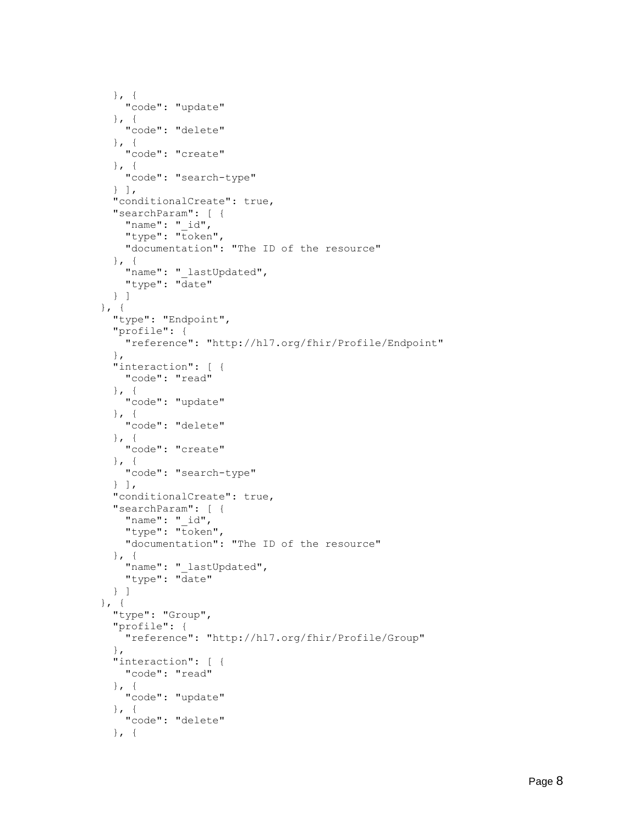```
}, { } "code": "update"
      }, { } "code": "delete"
      }, { } "code": "create"
      }, { } "code": "search-type"
       } ],
       "conditionalCreate": true,
       "searchParam": [ {
        "name": " id",
         "type": "token",
         "documentation": "The ID of the resource"
      }, { }"name": " lastUpdated",
         "type": "date"
       } ]
    }, { } "type": "Endpoint",
       "profile": {
         "reference": "http://hl7.org/fhir/Profile/Endpoint"
       },
       "interaction": [ {
         "code": "read"
      }, { } "code": "update"
      }, { } "code": "delete"
      }, {
         "code": "create"
       }, {
        "code": "search-type"
       } ],
       "conditionalCreate": true,
       "searchParam": [ {
         "name": "_id",
        "type": "token",
         "documentation": "The ID of the resource"
       }, {
        "name": " lastUpdated",
         "type": "date"
       } ]
     }, {
       "type": "Group",
       "profile": {
        "reference": "http://hl7.org/fhir/Profile/Group"
       },
       "interaction": [ {
        "code": "read"
       }, {
         "code": "update"
\}, {
 "code": "delete"
       }, {
```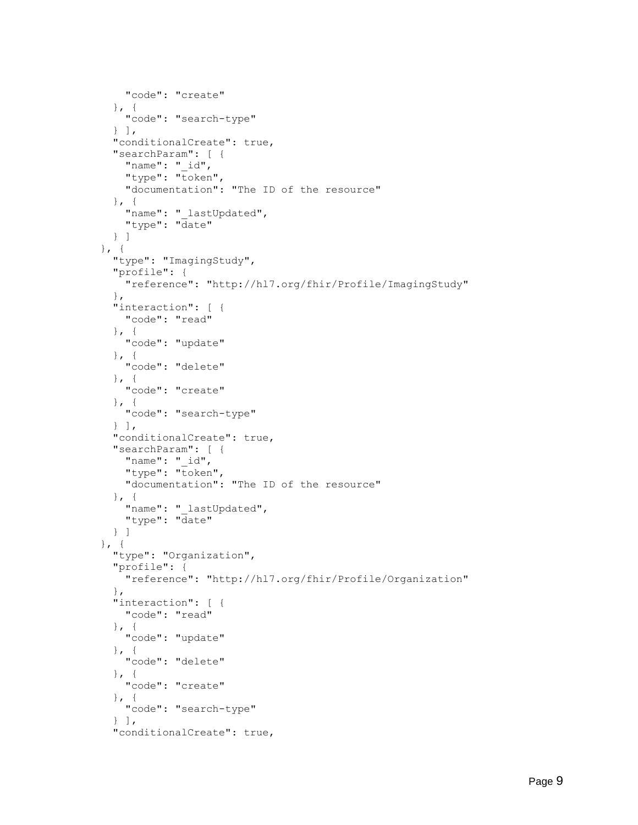```
 "code": "create"
   }, {
     "code": "search-type"
   } ],
   "conditionalCreate": true,
   "searchParam": [ {
    "name": "_id",
    "type": "token",
     "documentation": "The ID of the resource"
   }, {
    "name": " lastUpdated",
     "type": "date"
   } ]
 }, {
   "type": "ImagingStudy",
   "profile": {
     "reference": "http://hl7.org/fhir/Profile/ImagingStudy"
   },
   "interaction": [ {
    "code": "read"
  }, { } "code": "update"
   }, {
     "code": "delete"
  }, { } "code": "create"
  }, \{ "code": "search-type"
   } ],
   "conditionalCreate": true,
   "searchParam": [ {
    "name": " id",
    "type": "token",
     "documentation": "The ID of the resource"
   }, {
    "name": " lastUpdated",
     "type": "date"
   } ]
}, { } "type": "Organization",
   "profile": {
     "reference": "http://hl7.org/fhir/Profile/Organization"
   },
   "interaction": [ {
     "code": "read"
  }, { } "code": "update"
  }, { } "code": "delete"
  }, { } "code": "create"
  }, { } "code": "search-type"
  \} ],
   "conditionalCreate": true,
```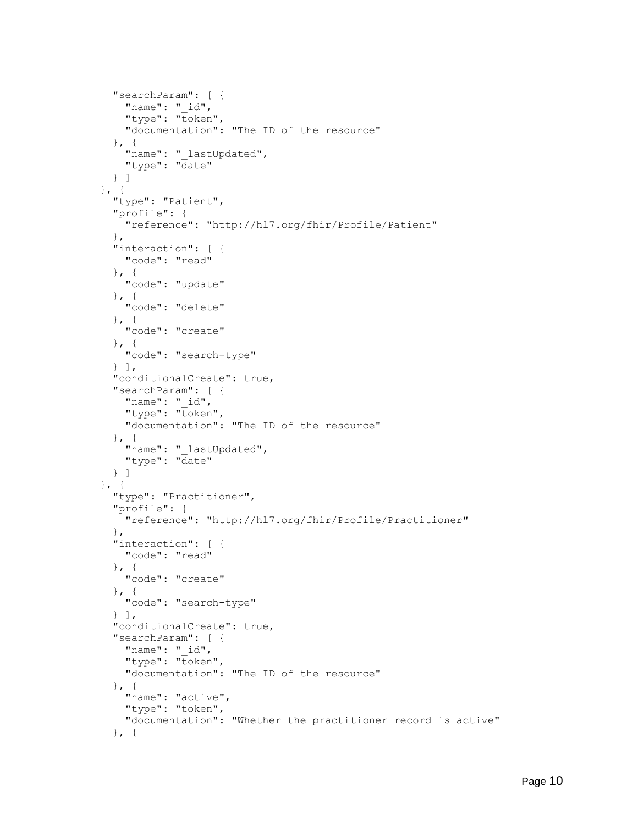```
 "searchParam": [ {
        "name": " id",
        "type": "token",
         "documentation": "The ID of the resource"
       }, {
"name": " lastUpdated",
 "type": "date"
       } ]
    }, \{ "type": "Patient",
       "profile": {
        "reference": "http://hl7.org/fhir/Profile/Patient"
       },
       "interaction": [ {
         "code": "read"
      }, { } "code": "update"
      }, { } "code": "delete"
       }, {
        "code": "create"
      }, { } "code": "search-type"
       } ],
       "conditionalCreate": true,
       "searchParam": [ {
         "name": "_id",
        "type": "token",
         "documentation": "The ID of the resource"
      }, { }"name": " lastUpdated",
         "type": "date"
       } ]
    }, { "type": "Practitioner",
       "profile": {
         "reference": "http://hl7.org/fhir/Profile/Practitioner"
       },
       "interaction": [ {
         "code": "read"
      }, { } "code": "create"
       }, {
         "code": "search-type"
       } ],
       "conditionalCreate": true,
       "searchParam": [ {
        "name": " id",
        "type": "token",
         "documentation": "The ID of the resource"
       }, {
         "name": "active",
         "type": "token",
         "documentation": "Whether the practitioner record is active"
       }, {
```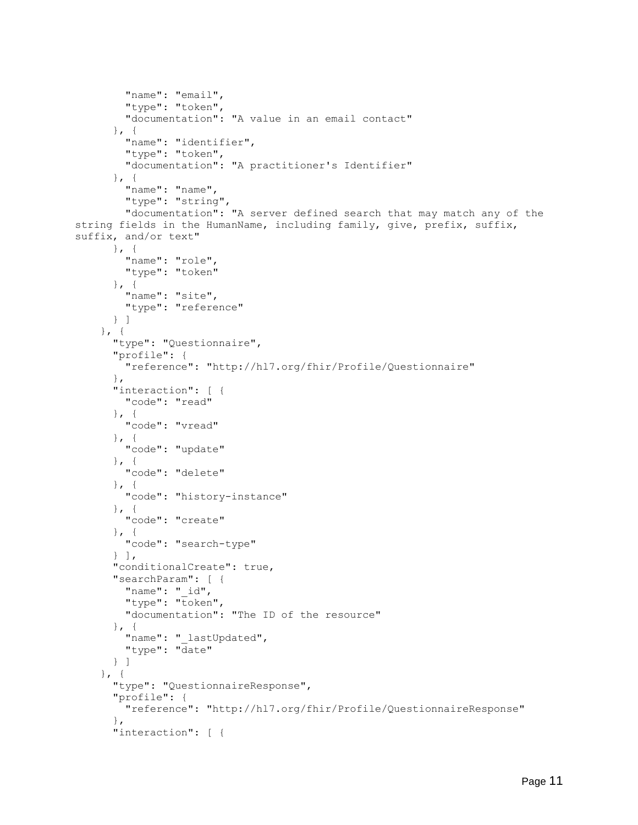```
 "name": "email",
         "type": "token",
         "documentation": "A value in an email contact"
      }, { } "name": "identifier",
         "type": "token",
         "documentation": "A practitioner's Identifier"
      }, { } "name": "name",
         "type": "string",
         "documentation": "A server defined search that may match any of the 
string fields in the HumanName, including family, give, prefix, suffix, 
suffix, and/or text"
      }, { } "name": "role",
         "type": "token"
      }, { } "name": "site",
         "type": "reference"
       } ]
    }, { "type": "Questionnaire",
       "profile": {
         "reference": "http://hl7.org/fhir/Profile/Questionnaire"
       },
       "interaction": [ {
         "code": "read"
      }, { } "code": "vread"
      }, { } "code": "update"
       }, {
         "code": "delete"
       }, {
         "code": "history-instance"
      \}, {
         "code": "create"
       }, {
         "code": "search-type"
      \} ],
       "conditionalCreate": true,
       "searchParam": [ {
        "name": " id",
        "type": "token",
         "documentation": "The ID of the resource"
      }, { } "name": "_lastUpdated",
         "type": "date"
       } ]
    }, \{ "type": "QuestionnaireResponse",
       "profile": {
         "reference": "http://hl7.org/fhir/Profile/QuestionnaireResponse"
       },
       "interaction": [ {
```